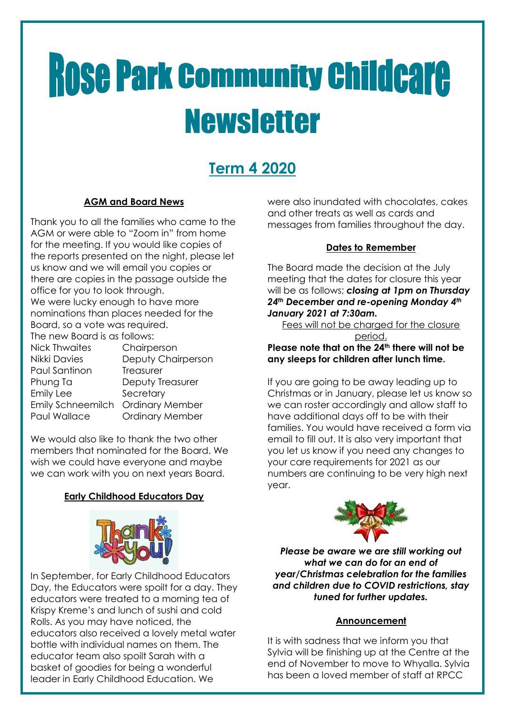# **Rose Park Community Childcare** Newsletter

# **Term 4 2020**

# **AGM and Board News**

Thank you to all the families who came to the AGM or were able to "Zoom in" from home for the meeting. If you would like copies of the reports presented on the night, please let us know and we will email you copies or there are copies in the passage outside the office for you to look through. We were lucky enough to have more nominations than places needed for the Board, so a vote was required. The new Board is as follows: Chairperson

| NICK THWAITES            |
|--------------------------|
| Nikki Davies             |
| Paul Santinon            |
| Phung Ta                 |
| <b>Emily Lee</b>         |
| <b>Emily Schneemilch</b> |
| Paul Wallace             |
|                          |

Deputy Chairperson **Treasurer** Deputy Treasurer Secretary Ordinary Member **Ordinary Member** 

We would also like to thank the two other members that nominated for the Board. We wish we could have everyone and maybe we can work with you on next years Board.

# **Early Childhood Educators Day**



In September, for Early Childhood Educators Day, the Educators were spoilt for a day. They educators were treated to a morning tea of Krispy Kreme's and lunch of sushi and cold Rolls. As you may have noticed, the educators also received a lovely metal water bottle with individual names on them. The educator team also spoilt Sarah with a basket of goodies for being a wonderful leader in Early Childhood Education. We

were also inundated with chocolates, cakes and other treats as well as cards and messages from families throughout the day.

#### **Dates to Remember**

The Board made the decision at the July meeting that the dates for closure this year will be as follows; *closing at 1pm on Thursday 24th December and re-opening Monday 4th January 2021 at 7:30am.*

Fees will not be charged for the closure period.

**Please note that on the 24th there will not be any sleeps for children after lunch time.**

If you are going to be away leading up to Christmas or in January, please let us know so we can roster accordingly and allow staff to have additional days off to be with their families. You would have received a form via email to fill out. It is also very important that you let us know if you need any changes to your care requirements for 2021 as our numbers are continuing to be very high next year.



*Please be aware we are still working out what we can do for an end of year/Christmas celebration for the families and children due to COVID restrictions, stay tuned for further updates.*

## **Announcement**

It is with sadness that we inform you that Sylvia will be finishing up at the Centre at the end of November to move to Whyalla. Sylvia has been a loved member of staff at RPCC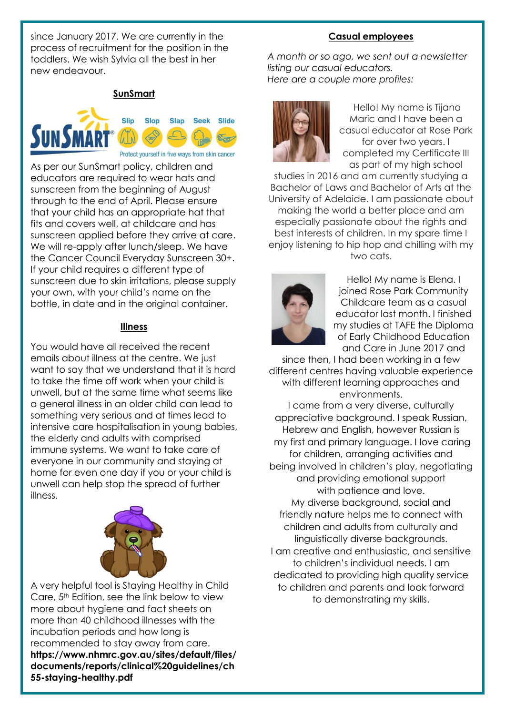since January 2017. We are currently in the process of recruitment for the position in the toddlers. We wish Sylvia all the best in her new endeavour.

#### **SunSmart**



As per our SunSmart policy, children and educators are required to wear hats and sunscreen from the beginning of August through to the end of April. Please ensure that your child has an appropriate hat that fits and covers well, at childcare and has sunscreen applied before they arrive at care. We will re-apply after lunch/sleep. We have the Cancer Council Everyday Sunscreen 30+. If your child requires a different type of sunscreen due to skin irritations, please supply your own, with your child's name on the bottle, in date and in the original container.

#### **Illness**

You would have all received the recent emails about illness at the centre. We just want to say that we understand that it is hard to take the time off work when your child is unwell, but at the same time what seems like a general illness in an older child can lead to something very serious and at times lead to intensive care hospitalisation in young babies, the elderly and adults with comprised immune systems. We want to take care of everyone in our community and staying at home for even one day if you or your child is unwell can help stop the spread of further illness.



A very helpful tool is Staying Healthy in Child Care, 5<sup>th</sup> Edition, see the link below to view more about hygiene and fact sheets on more than 40 childhood illnesses with the incubation periods and how long is recommended to stay away from care. **https://www.nhmrc.gov.au/sites/default/files/ documents/reports/clinical%20guidelines/ch 55-staying-healthy.pdf**

#### **Casual employees**

*A month or so ago, we sent out a newsletter listing our casual educators. Here are a couple more profiles:*



Hello! My name is Tijana Maric and I have been a casual educator at Rose Park for over two years. I completed my Certificate III as part of my high school

studies in 2016 and am currently studying a Bachelor of Laws and Bachelor of Arts at the University of Adelaide. I am passionate about making the world a better place and am especially passionate about the rights and best interests of children. In my spare time I enjoy listening to hip hop and chilling with my two cats.



Hello! My name is Elena. I joined Rose Park Community Childcare team as a casual educator last month. I finished my studies at TAFE the Diploma of Early Childhood Education and Care in June 2017 and

since then, I had been working in a few different centres having valuable experience with different learning approaches and environments.

I came from a very diverse, culturally appreciative background. I speak Russian, Hebrew and English, however Russian is my first and primary language. I love caring for children, arranging activities and being involved in children's play, negotiating and providing emotional support with patience and love. My diverse background, social and friendly nature helps me to connect with children and adults from culturally and linguistically diverse backgrounds. I am creative and enthusiastic, and sensitive to children's individual needs. I am dedicated to providing high quality service to children and parents and look forward to demonstrating my skills.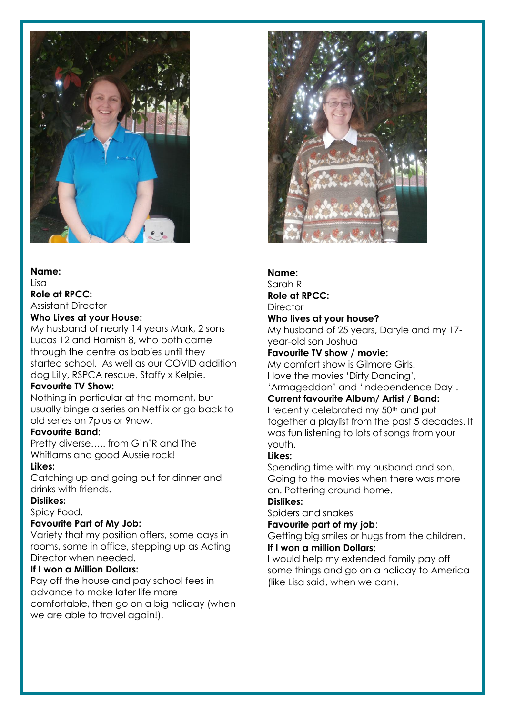

## **Name:** Lisa **Role at RPCC:**

Assistant Director

#### **Who Lives at your House:**

My husband of nearly 14 years Mark, 2 sons Lucas 12 and Hamish 8, who both came through the centre as babies until they started school. As well as our COVID addition dog Lilly, RSPCA rescue, Staffy x Kelpie.

#### **Favourite TV Show:**

Nothing in particular at the moment, but usually binge a series on Netflix or go back to old series on 7plus or 9now.

#### **Favourite Band:**

Pretty diverse….. from G'n'R and The Whitlams and good Aussie rock!

#### **Likes:**

Catching up and going out for dinner and drinks with friends.

#### **Dislikes:**

Spicy Food.

#### **Favourite Part of My Job:**

Variety that my position offers, some days in rooms, some in office, stepping up as Acting Director when needed.

#### **If I won a Million Dollars:**

Pay off the house and pay school fees in advance to make later life more comfortable, then go on a big holiday (when we are able to travel again!).



#### **Name:**

Sarah R **Role at RPCC:**

#### **Director**

#### **Who lives at your house?**

My husband of 25 years, Daryle and my 17 year-old son Joshua

**Favourite TV show / movie:**

My comfort show is Gilmore Girls. I love the movies 'Dirty Dancing',

'Armageddon' and 'Independence Day'.

# **Current favourite Album/ Artist / Band:**

I recently celebrated my 50<sup>th</sup> and put together a playlist from the past 5 decades. It was fun listening to lots of songs from your youth.

#### **Likes:**

Spending time with my husband and son. Going to the movies when there was more on. Pottering around home.

#### **Dislikes:**

Spiders and snakes

#### **Favourite part of my job**:

Getting big smiles or hugs from the children. **If I won a million Dollars:**

#### I would help my extended family pay off some things and go on a holiday to America (like Lisa said, when we can).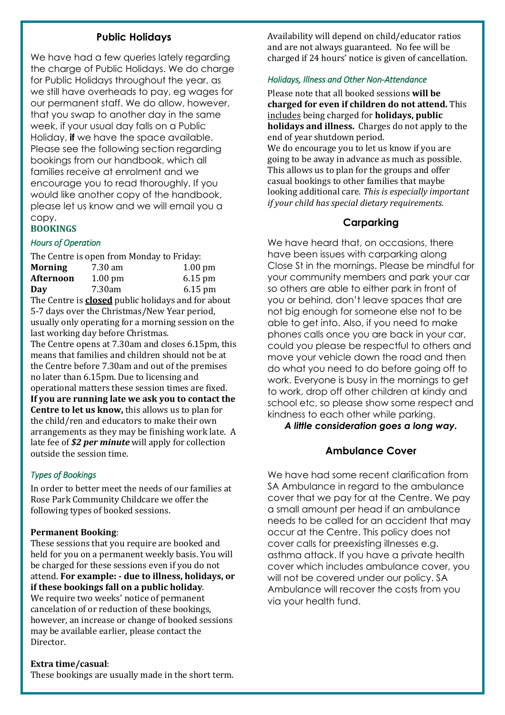## **Public Holidays**

We have had a few queries lately regarding the charge of Public Holidays. We do charge for Public Holidays throughout the year, as we still have overheads to pay, eg wages for our permanent staff. We do allow, however, that you swap to another day in the same week, if your usual day falls on a Public Holiday, **if** we have the space available. Please see the following section regarding bookings from our handbook, which all families receive at enrolment and we encourage you to read thoroughly. If you would like another copy of the handbook, please let us know and we will email you a copy.

#### **BOOKINGS**

#### *Hours of Operation*

| The Centre is open from Monday to Friday:                 |           |           |  |
|-----------------------------------------------------------|-----------|-----------|--|
| <b>Morning</b>                                            | 7.30 am   | $1.00$ pm |  |
| Afternoon                                                 | $1.00$ pm | 6.15 pm   |  |
| Day                                                       | 7.30am    | $6.15$ pm |  |
| The Centre is <b>closed</b> public holidays and for about |           |           |  |
| 5-7 days over the Christmas/New Year period,              |           |           |  |

usually only operating for a morning session on the last working day before Christmas.

The Centre opens at 7.30am and closes 6.15pm, this means that families and children should not be at the Centre before 7.30am and out of the premises no later than 6.15pm. Due to licensing and operational matters these session times are fixed. **If you are running late we ask you to contact the Centre to let us know,** this allows us to plan for the child/ren and educators to make their own arrangements as they may be finishing work late. A late fee of *\$2 per minute* will apply for collection outside the session time.

#### *Types of Bookings*

In order to better meet the needs of our families at Rose Park Community Childcare we offer the following types of booked sessions.

#### **Permanent Booking**:

These sessions that you require are booked and held for you on a permanent weekly basis. You will be charged for these sessions even if you do not attend. **For example: - due to illness, holidays, or if these bookings fall on a public holiday**. We require two weeks' notice of permanent cancelation of or reduction of these bookings, however, an increase or change of booked sessions may be available earlier, please contact the Director.

**Extra time/casual**:

These bookings are usually made in the short term.

Availability will depend on child/educator ratios and are not always guaranteed. No fee will be charged if 24 hours' notice is given of cancellation.

#### *Holidays, Illness and Other Non-Attendance*

Please note that all booked sessions **will be charged for even if children do not attend.** This includes being charged for **holidays, public holidays and illness.** Charges do not apply to the end of year shutdown period.

We do encourage you to let us know if you are going to be away in advance as much as possible. This allows us to plan for the groups and offer casual bookings to other families that maybe looking additional care. *This is especially important if your child has special dietary requirements.*

# **Carparking**

We have heard that, on occasions, there have been issues with carparking along Close St in the mornings. Please be mindful for your community members and park your car so others are able to either park in front of you or behind, don't leave spaces that are not big enough for someone else not to be able to get into. Also, if you need to make phones calls once you are back in your car, could you please be respectful to others and move your vehicle down the road and then do what you need to do before going off to work. Everyone is busy in the mornings to get to work, drop off other children at kindy and school etc, so please show some respect and kindness to each other while parking.

*A little consideration goes a long way.*

## **Ambulance Cover**

We have had some recent clarification from SA Ambulance in regard to the ambulance cover that we pay for at the Centre. We pay a small amount per head if an ambulance needs to be called for an accident that may occur at the Centre. This policy does not cover calls for preexisting illnesses e.g. asthma attack. If you have a private health cover which includes ambulance cover, you will not be covered under our policy. SA Ambulance will recover the costs from you via your health fund.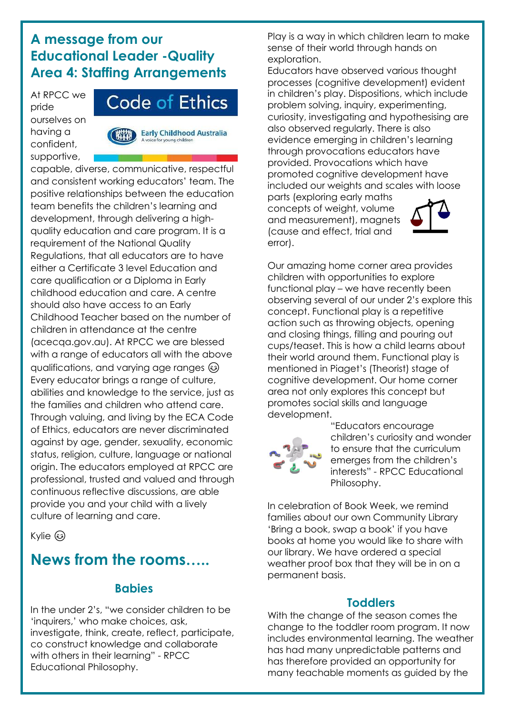# **A message from our Educational Leader -Quality Area 4: Staffing Arrangements**

At RPCC we pride ourselves on having a confident, supportive,



**Early Childhood Australia** for young children

capable, diverse, communicative, respectful and consistent working educators' team. The positive relationships between the education team benefits the children's learning and development, through delivering a highquality education and care program. It is a requirement of the National Quality Regulations, that all educators are to have either a Certificate 3 level Education and care qualification or a Diploma in Early childhood education and care. A centre should also have access to an Early Childhood Teacher based on the number of children in attendance at the centre (acecqa.gov.au). At RPCC we are blessed with a range of educators all with the above qualifications, and varying age ranges Every educator brings a range of culture, abilities and knowledge to the service, just as the families and children who attend care. Through valuing, and living by the ECA Code of Ethics, educators are never discriminated against by age, gender, sexuality, economic status, religion, culture, language or national origin. The educators employed at RPCC are professional, trusted and valued and through continuous reflective discussions, are able provide you and your child with a lively culture of learning and care.

Kylie හි

# **News from the rooms…..**

# **Babies**

In the under 2's, "we consider children to be 'inquirers,' who make choices, ask, investigate, think, create, reflect, participate, co construct knowledge and collaborate with others in their learning" - RPCC Educational Philosophy.

Play is a way in which children learn to make sense of their world through hands on exploration.

Educators have observed various thought processes (cognitive development) evident in children's play. Dispositions, which include problem solving, inquiry, experimenting, curiosity, investigating and hypothesising are also observed regularly. There is also evidence emerging in children's learning through provocations educators have provided. Provocations which have promoted cognitive development have included our weights and scales with loose

parts (exploring early maths concepts of weight, volume and measurement), magnets (cause and effect, trial and error).



Our amazing home corner area provides children with opportunities to explore functional play – we have recently been observing several of our under 2's explore this concept. Functional play is a repetitive action such as throwing objects, opening and closing things, filling and pouring out cups/teaset. This is how a child learns about their world around them. Functional play is mentioned in Piaget's (Theorist) stage of cognitive development. Our home corner area not only explores this concept but promotes social skills and language development.



"Educators encourage children's curiosity and wonder to ensure that the curriculum emerges from the children's interests" - RPCC Educational Philosophy.

In celebration of Book Week, we remind families about our own Community Library 'Bring a book, swap a book' if you have books at home you would like to share with our library. We have ordered a special weather proof box that they will be in on a permanent basis.

# **Toddlers**

With the change of the season comes the change to the toddler room program. It now includes environmental learning. The weather has had many unpredictable patterns and has therefore provided an opportunity for many teachable moments as guided by the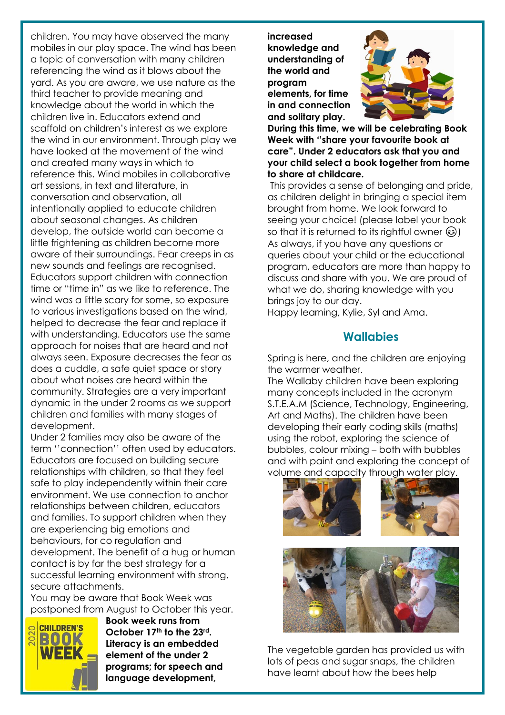children. You may have observed the many mobiles in our play space. The wind has been a topic of conversation with many children referencing the wind as it blows about the yard. As you are aware, we use nature as the third teacher to provide meaning and knowledge about the world in which the children live in. Educators extend and scaffold on children's interest as we explore the wind in our environment. Through play we have looked at the movement of the wind and created many ways in which to reference this. Wind mobiles in collaborative art sessions, in text and literature, in conversation and observation, all intentionally applied to educate children about seasonal changes. As children develop, the outside world can become a little frightening as children become more aware of their surroundings. Fear creeps in as new sounds and feelings are recognised. Educators support children with connection time or "time in" as we like to reference. The wind was a little scary for some, so exposure to various investigations based on the wind, helped to decrease the fear and replace it with understanding. Educators use the same approach for noises that are heard and not always seen. Exposure decreases the fear as does a cuddle, a safe quiet space or story about what noises are heard within the community. Strategies are a very important dynamic in the under 2 rooms as we support children and families with many stages of development.

Under 2 families may also be aware of the term ''connection'' often used by educators. Educators are focused on building secure relationships with children, so that they feel safe to play independently within their care environment. We use connection to anchor relationships between children, educators and families. To support children when they are experiencing big emotions and behaviours, for co regulation and development. The benefit of a hug or human contact is by far the best strategy for a successful learning environment with strong, secure attachments.

You may be aware that Book Week was postponed from August to October this year.



**Book week runs from October 17th to the 23rd. Literacy is an embedded element of the under 2 programs; for speech and language development,** 

**increased knowledge and understanding of the world and program elements, for time in and connection and solitary play.** 



**During this time, we will be celebrating Book Week with ''share your favourite book at care". Under 2 educators ask that you and your child select a book together from home to share at childcare.**

This provides a sense of belonging and pride, as children delight in bringing a special item brought from home. We look forward to seeing your choice! (please label your book so that it is returned to its rightful owner  $\circled{e}$ ) As always, if you have any questions or queries about your child or the educational program, educators are more than happy to discuss and share with you. We are proud of what we do, sharing knowledge with you brings joy to our day.

Happy learning, Kylie, Syl and Ama.

# **Wallabies**

Spring is here, and the children are enjoying the warmer weather.

The Wallaby children have been exploring many concepts included in the acronym S.T.E.A.M (Science, Technology, Engineering, Art and Maths). The children have been developing their early coding skills (maths) using the robot, exploring the science of bubbles, colour mixing – both with bubbles and with paint and exploring the concept of volume and capacity through water play.





The vegetable garden has provided us with lots of peas and sugar snaps, the children have learnt about how the bees help